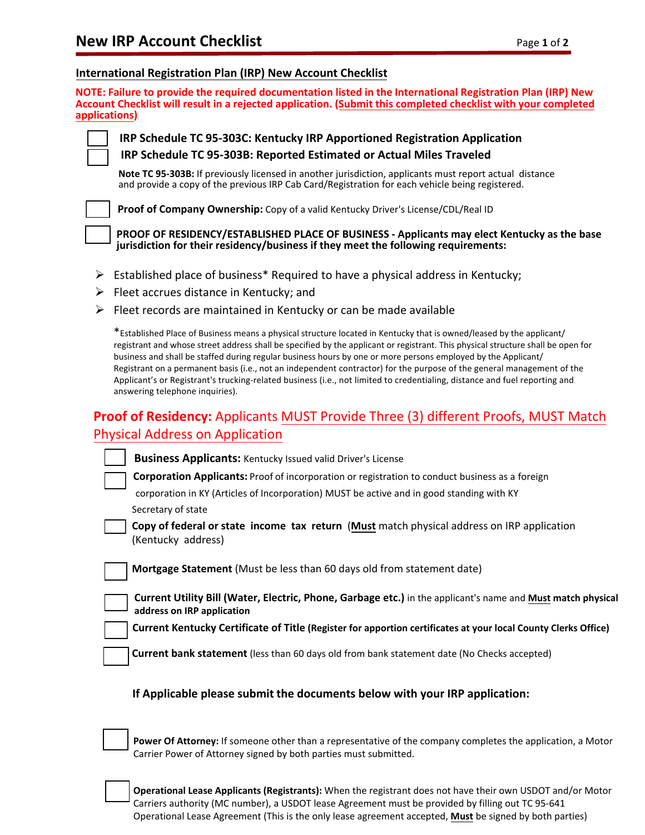#### **International Registration Plan (IRP) New Account Checklist**

**NOTE: Failure to provide the required documentation listed in the International Registration Plan (IRP) New Account Checklist will result in a rejected application. (Submit this completed checklist with your completed applications)**

**IRP Schedule TC 95-303C: Kentucky IRP Apportioned Registration Application IRP Schedule TC 95-303B: Reported Estimated or Actual Miles Traveled**

**Note TC 95-303B:** If previously licensed in another jurisdiction, applicants must report actual distance and provide a copy of the previous IRP Cab Card/Registration for each vehicle being registered.

**Proof of Company Ownership:** Copy of a valid Kentucky Driver's License/CDL/Real ID

**PROOF OF RESIDENCY/ESTABLISHED PLACE OF BUSINESS - Applicants may elect Kentucky as the base jurisdiction for their residency/business if they meet the following requirements:**

- $\triangleright$  Established place of business\* Required to have a physical address in Kentucky;
- $\triangleright$  Fleet accrues distance in Kentucky; and
- $\triangleright$  Fleet records are maintained in Kentucky or can be made available

\*Established Place of Business means a physical structure located in Kentucky that is owned/leased by the applicant/ registrant and whose street address shall be specified by the applicant or registrant. This physical structure shall be open for business and shall be staffed during regular business hours by one or more persons employed by the Applicant/ Registrant on a permanent basis (i.e., not an independent contractor) for the purpose of the general management of the Applicant's or Registrant's trucking-related business (i.e., not limited to credentialing, distance and fuel reporting and answering telephone inquiries).

# **Proof of Residency:** Applicants MUST Provide Three (3) different Proofs, MUST Match Physical Address on Application

| <b>Business Applicants:</b> Kentucky Issued valid Driver's License                                                                        |
|-------------------------------------------------------------------------------------------------------------------------------------------|
| <b>Corporation Applicants:</b> Proof of incorporation or registration to conduct business as a foreign                                    |
| corporation in KY (Articles of Incorporation) MUST be active and in good standing with KY                                                 |
| Secretary of state                                                                                                                        |
| Copy of federal or state income tax return (Must match physical address on IRP application<br>(Kentucky address)                          |
| Mortgage Statement (Must be less than 60 days old from statement date)                                                                    |
| Current Utility Bill (Water, Electric, Phone, Garbage etc.) in the applicant's name and Must match physical<br>address on IRP application |
| Current Kentucky Certificate of Title (Register for apportion certificates at your local County Clerks Office)                            |
| <b>Current bank statement</b> (less than 60 days old from bank statement date (No Checks accepted)                                        |

#### **If Applicable please submit the documents below with your IRP application:**

**Power Of Attorney:** If someone other than a representative of the company completes the application, a Motor Carrier Power of Attorney signed by both parties must submitted.

**Operational Lease Applicants (Registrants):** When the registrant does not have their own USDOT and/or Motor Carriers authority (MC number), a USDOT lease Agreement must be provided by filling out TC 95-641 Operational Lease Agreement (This is the only lease agreement accepted, **Must** be signed by both parties)